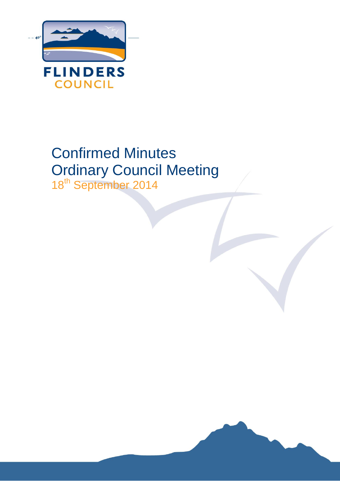

# Confirmed Minutes Ordinary Council Meeting 18<sup>th</sup> September 2014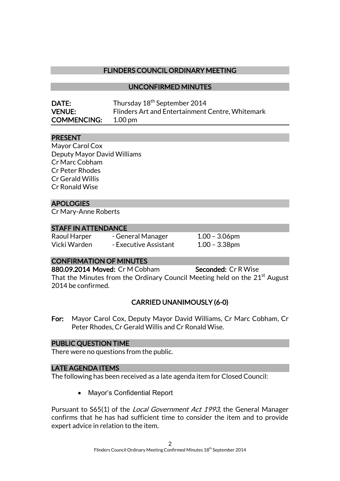## FLINDERS COUNCIL ORDINARY MEETING

UNCONFIRMED MINUTES

| DATE:              | Thursday 18 <sup>th</sup> September 2014         |
|--------------------|--------------------------------------------------|
| <b>VENUE:</b>      | Flinders Art and Entertainment Centre, Whitemark |
| <b>COMMENCING:</b> | $1.00 \,\mathrm{pm}$                             |

## PRESENT

Mayor Carol Cox Deputy Mayor David Williams Cr Marc Cobham Cr Peter Rhodes Cr Gerald Willis Cr Ronald Wise

## APOLOGIES

Cr Mary-Anne Roberts

#### STAFF IN ATTENDANCE

Raoul Harper - General Manager 1.00 - 3.06pm Vicki Warden - Executive Assistant 1.00 - 3.38pm

## CONFIRMATION OF MINUTES

880.09.2014 Moved: Cr M Cobham Seconded: Cr R Wise

That the Minutes from the Ordinary Council Meeting held on the 21<sup>st</sup> August 2014 be confirmed.

## CARRIED UNANIMOUSLY (6-0)

For: Mayor Carol Cox, Deputy Mayor David Williams, Cr Marc Cobham, Cr Peter Rhodes, Cr Gerald Willis and Cr Ronald Wise.

## PUBLIC QUESTION TIME

There were no questions from the public.

#### LATE AGENDA ITEMS

The following has been received as a late agenda item for Closed Council:

• Mayor's Confidential Report

Pursuant to S65(1) of the Local Government Act 1993, the General Manager confirms that he has had sufficient time to consider the item and to provide expert advice in relation to the item.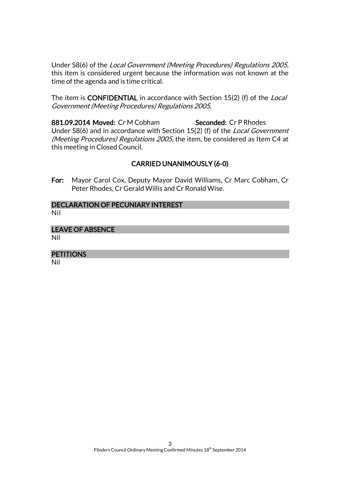Under S8(6) of the Local Government (Meeting Procedures) Regulations 2005, this item is considered urgent because the information was not known at the time of the agenda and is time critical.

The item is CONFIDENTIAL in accordance with Section 15(2) (f) of the Local Government (Meeting Procedures) Regulations 2005.

881.09.2014 Moved: Cr M Cobham Seconded: Cr P Rhodes Under S8(6) and in accordance with Section 15(2) (f) of the Local Government (Meeting Procedures) Regulations 2005, the item, be considered as Item C4 at this meeting in Closed Council.

## CARRIED UNANIMOUSLY (6-0)

For: Mayor Carol Cox, Deputy Mayor David Williams, Cr Marc Cobham, Cr Peter Rhodes, Cr Gerald Willis and Cr Ronald Wise.

#### DECLARATION OF PECUNIARY INTEREST Nil

## LEAVE OF ABSENCE

Nil

## **PETITIONS**

Nil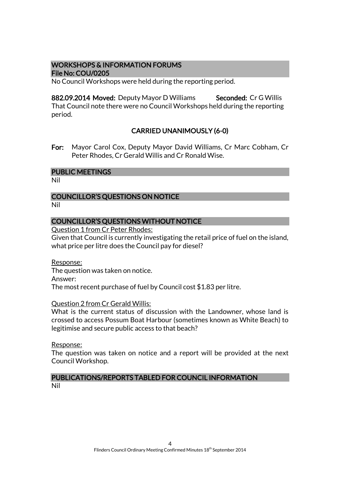#### WORKSHOPS & INFORMATION FORUMS File No: COU/0205

No Council Workshops were held during the reporting period.

882.09.2014 Moved: Deputy Mayor D Williams Seconded: Cr G Willis That Council note there were no Council Workshops held during the reporting period.

## CARRIED UNANIMOUSLY (6-0)

For: Mayor Carol Cox, Deputy Mayor David Williams, Cr Marc Cobham, Cr Peter Rhodes, Cr Gerald Willis and Cr Ronald Wise.

#### PUBLIC MEETINGS

Nil

## COUNCILLOR'S QUESTIONS ON NOTICE

Nil

#### COUNCILLOR'S QUESTIONS WITHOUT NOTICE

Question 1 from Cr Peter Rhodes:

Given that Council is currently investigating the retail price of fuel on the island, what price per litre does the Council pay for diesel?

Response: The question was taken on notice. Answer: The most recent purchase of fuel by Council cost \$1.83 per litre.

#### Question 2 from Cr Gerald Willis:

What is the current status of discussion with the Landowner, whose land is crossed to access Possum Boat Harbour (sometimes known as White Beach) to legitimise and secure public access to that beach?

Response:

The question was taken on notice and a report will be provided at the next Council Workshop.

#### PUBLICATIONS/REPORTS TABLED FOR COUNCIL INFORMATION Nil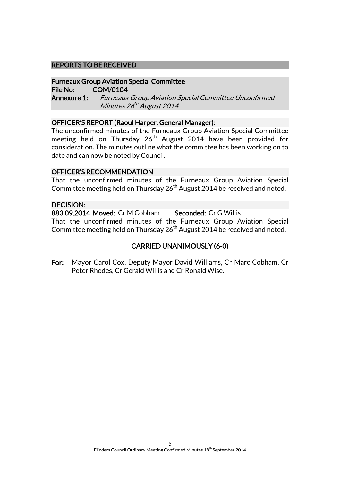#### REPORTS TO BE RECEIVED

#### Furneaux Group Aviation Special Committee File No: COM/0104

Annexure 1: Furneaux Group Aviation Special Committee Unconfirmed Minutes 26<sup>th</sup> August 2014

#### OFFICER'S REPORT (Raoul Harper, General Manager):

The unconfirmed minutes of the Furneaux Group Aviation Special Committee meeting held on Thursday 26<sup>th</sup> August 2014 have been provided for consideration. The minutes outline what the committee has been working on to date and can now be noted by Council.

#### OFFICER'S RECOMMENDATION

That the unconfirmed minutes of the Furneaux Group Aviation Special Committee meeting held on Thursday  $26<sup>th</sup>$  August 2014 be received and noted.

#### DECISION:

883.09.2014 Moved: Cr M Cobham Seconded: Cr G Willis That the unconfirmed minutes of the Furneaux Group Aviation Special Committee meeting held on Thursday 26<sup>th</sup> August 2014 be received and noted.

## CARRIED UNANIMOUSLY (6-0)

For: Mayor Carol Cox, Deputy Mayor David Williams, Cr Marc Cobham, Cr Peter Rhodes, Cr Gerald Willis and Cr Ronald Wise.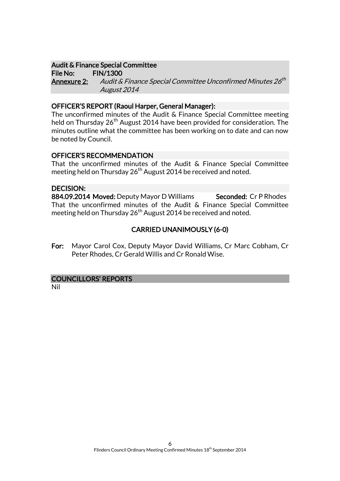#### Audit & Finance Special Committee

File No: FIN/1300 **Annexure 2:** Audit & Finance Special Committee Unconfirmed Minutes 26<sup>th</sup> August 2014

#### OFFICER'S REPORT (Raoul Harper, General Manager):

The unconfirmed minutes of the Audit & Finance Special Committee meeting held on Thursday 26<sup>th</sup> August 2014 have been provided for consideration. The minutes outline what the committee has been working on to date and can now be noted by Council.

#### OFFICER'S RECOMMENDATION

That the unconfirmed minutes of the Audit & Finance Special Committee meeting held on Thursday 26<sup>th</sup> August 2014 be received and noted.

#### DECISION:

884.09.2014 Moved: Deputy Mayor D Williams Seconded: Cr P Rhodes That the unconfirmed minutes of the Audit & Finance Special Committee meeting held on Thursday  $26<sup>th</sup>$  August 2014 be received and noted.

## CARRIED UNANIMOUSLY (6-0)

For: Mayor Carol Cox, Deputy Mayor David Williams, Cr Marc Cobham, Cr Peter Rhodes, Cr Gerald Willis and Cr Ronald Wise.

#### COUNCILLORS' REPORTS

Nil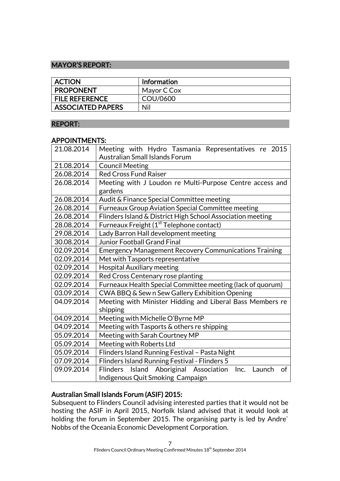## MAYOR'S REPORT:

| <b>ACTION</b>            | <b>Information</b> |
|--------------------------|--------------------|
| <b>PROPONENT</b>         | Mayor C Cox        |
| <b>FILE REFERENCE</b>    | COU/0600           |
| <b>ASSOCIATED PAPERS</b> | Nil                |

#### REPORT:

#### APPOINTMENTS:

| 21.08.2014 | Meeting with Hydro Tasmania Representatives re 2015<br><b>Australian Small Islands Forum</b>              |  |
|------------|-----------------------------------------------------------------------------------------------------------|--|
| 21.08.2014 | <b>Council Meeting</b>                                                                                    |  |
| 26.08.2014 | <b>Red Cross Fund Raiser</b>                                                                              |  |
| 26.08.2014 | Meeting with J Loudon re Multi-Purpose Centre access and<br>gardens                                       |  |
| 26.08.2014 | Audit & Finance Special Committee meeting                                                                 |  |
| 26.08.2014 | <b>Furneaux Group Aviation Special Committee meeting</b>                                                  |  |
| 26.08.2014 | Flinders Island & District High School Association meeting                                                |  |
| 28.08.2014 | Furneaux Freight (1 <sup>st</sup> Telephone contact)                                                      |  |
| 29.08.2014 | Lady Barron Hall development meeting                                                                      |  |
| 30.08.2014 | <b>Junior Football Grand Final</b>                                                                        |  |
| 02.09.2014 | <b>Emergency Management Recovery Communications Training</b>                                              |  |
| 02.09.2014 | Met with Tasports representative                                                                          |  |
| 02.09.2014 | <b>Hospital Auxiliary meeting</b>                                                                         |  |
| 02.09.2014 | Red Cross Centenary rose planting                                                                         |  |
| 02.09.2014 | Furneaux Health Special Committee meeting (lack of quorum)                                                |  |
| 03.09.2014 | CWA BBQ & Sew n Sew Gallery Exhibition Opening                                                            |  |
| 04.09.2014 | Meeting with Minister Hidding and Liberal Bass Members re<br>shipping                                     |  |
| 04.09.2014 | Meeting with Michelle O'Byrne MP                                                                          |  |
| 04.09.2014 | Meeting with Tasports & others re shipping                                                                |  |
| 05.09.2014 | Meeting with Sarah Courtney MP                                                                            |  |
| 05.09.2014 | Meeting with Roberts Ltd                                                                                  |  |
| 05.09.2014 | Flinders Island Running Festival - Pasta Night                                                            |  |
| 07.09.2014 | Flinders Island Running Festival - Flinders 5                                                             |  |
| 09.09.2014 | Island Aboriginal Association Inc.<br><b>Flinders</b><br>Launch<br>of<br>Indigenous Quit Smoking Campaign |  |

## Australian Small Islands Forum (ASIF) 2015:

Subsequent to Flinders Council advising interested parties that it would not be hosting the ASIF in April 2015, Norfolk Island advised that it would look at holding the forum in September 2015. The organising party is led by Andre` Nobbs of the Oceania Economic Development Corporation.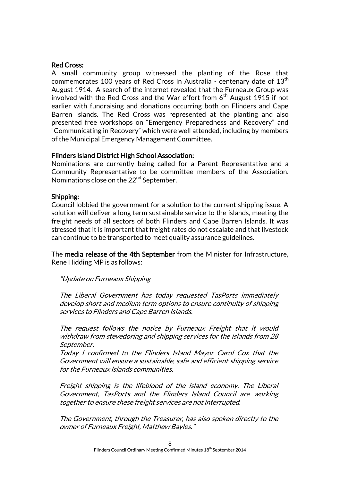#### Red Cross:

A small community group witnessed the planting of the Rose that commemorates 100 years of Red Cross in Australia - centenary date of  $13<sup>th</sup>$ August 1914. A search of the internet revealed that the Furneaux Group was involved with the Red Cross and the War effort from  $6<sup>th</sup>$  August 1915 if not earlier with fundraising and donations occurring both on Flinders and Cape Barren Islands. The Red Cross was represented at the planting and also presented free workshops on "Emergency Preparedness and Recovery" and "Communicating in Recovery" which were well attended, including by members of the Municipal Emergency Management Committee.

#### Flinders Island District High School Association:

Nominations are currently being called for a Parent Representative and a Community Representative to be committee members of the Association. Nominations close on the 22<sup>nd</sup> September.

#### Shipping:

Council lobbied the government for a solution to the current shipping issue. A solution will deliver a long term sustainable service to the islands, meeting the freight needs of all sectors of both Flinders and Cape Barren Islands. It was stressed that it is important that freight rates do not escalate and that livestock can continue to be transported to meet quality assurance guidelines.

The media release of the 4th September from the Minister for Infrastructure, Rene Hidding MP is as follows:

#### "Update on Furneaux Shipping

The Liberal Government has today requested TasPorts immediately develop short and medium term options to ensure continuity of shipping services to Flinders and Cape Barren Islands.

The request follows the notice by Furneaux Freight that it would withdraw from stevedoring and shipping services for the islands from 28 September.

Today I confirmed to the Flinders Island Mayor Carol Cox that the Government will ensure a sustainable, safe and efficient shipping service for the Furneaux Islands communities.

Freight shipping is the lifeblood of the island economy. The Liberal Government, TasPorts and the Flinders Island Council are working together to ensure these freight services are not interrupted.

The Government, through the Treasurer, has also spoken directly to the owner of Furneaux Freight, Matthew Bayles."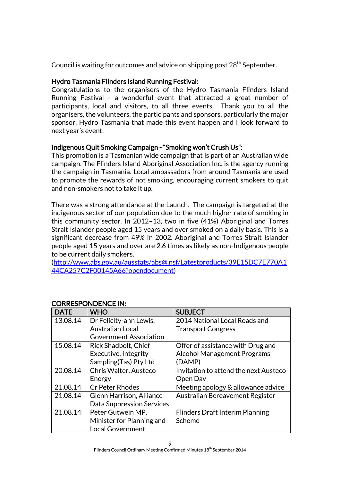Council is waiting for outcomes and advice on shipping post 28<sup>th</sup> September.

## Hydro Tasmania Flinders Island Running Festival:

Congratulations to the organisers of the Hydro Tasmania Flinders Island Running Festival - a wonderful event that attracted a great number of participants, local and visitors, to all three events. Thank you to all the organisers, the volunteers, the participants and sponsors, particularly the major sponsor, Hydro Tasmania that made this event happen and I look forward to next year's event.

## Indigenous Quit Smoking Campaign - "Smoking won't Crush Us":

This promotion is a Tasmanian wide campaign that is part of an Australian wide campaign. The Flinders Island Aboriginal Association Inc. is the agency running the campaign in Tasmania. Local ambassadors from around Tasmania are used to promote the rewards of not smoking, encouraging current smokers to quit and non-smokers not to take it up.

There was a strong attendance at the Launch. The campaign is targeted at the indigenous sector of our population due to the much higher rate of smoking in this community sector. In 2012–13, two in five (41%) Aboriginal and Torres Strait Islander people aged 15 years and over smoked on a daily basis. This is a significant decrease from 49% in 2002. Aboriginal and Torres Strait Islander people aged 15 years and over are 2.6 times as likely as non-Indigenous people to be current daily smokers.

[\(http://www.abs.gov.au/ausstats/abs@.nsf/Latestproducts/39E15DC7E770A1](http://www.abs.gov.au/ausstats/abs@.nsf/Latestproducts/39E15DC7E770A144CA257C2F00145A66?opendocument) [44CA257C2F00145A66?opendocument\)](http://www.abs.gov.au/ausstats/abs@.nsf/Latestproducts/39E15DC7E770A144CA257C2F00145A66?opendocument)

| <b>DATE</b> | <b>WHO</b>                      | <b>SUBJECT</b>                         |
|-------------|---------------------------------|----------------------------------------|
| 13.08.14    | Dr Felicity-ann Lewis,          | 2014 National Local Roads and          |
|             | <b>Australian Local</b>         | <b>Transport Congress</b>              |
|             | <b>Government Association</b>   |                                        |
| 15.08.14    | Rick Shadbolt, Chief            | Offer of assistance with Drug and      |
|             | Executive, Integrity            | <b>Alcohol Management Programs</b>     |
|             | Sampling(Tas) Pty Ltd           | (DAMP)                                 |
| 20.08.14    | Chris Walter, Austeco           | Invitation to attend the next Austeco  |
|             | Energy                          | Open Day                               |
| 21.08.14    | <b>Cr Peter Rhodes</b>          | Meeting apology & allowance advice     |
| 21.08.14    | <b>Glenn Harrison, Alliance</b> | Australian Bereavement Register        |
|             | Data Suppression Services       |                                        |
| 21.08.14    | Peter Gutwein MP,               | <b>Flinders Draft Interim Planning</b> |
|             | Minister for Planning and       | Scheme                                 |
|             | <b>Local Government</b>         |                                        |

## CORRESPONDENCE IN: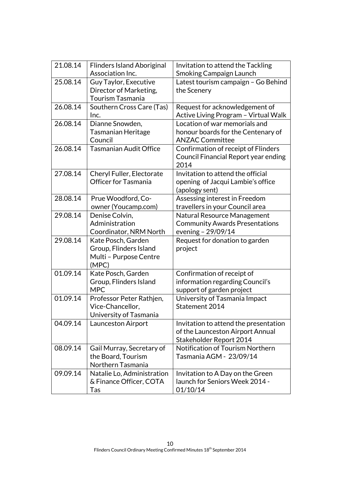| 21.08.14 | <b>Flinders Island Aboriginal</b><br>Association Inc.                           | Invitation to attend the Tackling<br>Smoking Campaign Launch                                         |
|----------|---------------------------------------------------------------------------------|------------------------------------------------------------------------------------------------------|
| 25.08.14 | Guy Taylor, Executive<br>Director of Marketing,<br><b>Tourism Tasmania</b>      | Latest tourism campaign - Go Behind<br>the Scenery                                                   |
| 26.08.14 | Southern Cross Care (Tas)<br>Inc.                                               | Request for acknowledgement of<br>Active Living Program - Virtual Walk                               |
| 26.08.14 | Dianne Snowden,<br><b>Tasmanian Heritage</b><br>Council                         | Location of war memorials and<br>honour boards for the Centenary of<br><b>ANZAC Committee</b>        |
| 26.08.14 | <b>Tasmanian Audit Office</b>                                                   | Confirmation of receipt of Flinders<br>Council Financial Report year ending<br>2014                  |
| 27.08.14 | Cheryl Fuller, Electorate<br><b>Officer for Tasmania</b>                        | Invitation to attend the official<br>opening of Jacqui Lambie's office<br>(apology sent)             |
| 28.08.14 | Prue Woodford, Co-<br>owner (Youcamp.com)                                       | Assessing interest in Freedom<br>travellers in your Council area                                     |
| 29.08.14 | Denise Colvin,<br>Administration<br>Coordinator, NRM North                      | Natural Resource Management<br><b>Community Awards Presentations</b><br>evening - 29/09/14           |
| 29.08.14 | Kate Posch, Garden<br>Group, Flinders Island<br>Multi - Purpose Centre<br>(MPC) | Request for donation to garden<br>project                                                            |
| 01.09.14 | Kate Posch, Garden<br>Group, Flinders Island<br><b>MPC</b>                      | Confirmation of receipt of<br>information regarding Council's<br>support of garden project           |
| 01.09.14 | Professor Peter Rathjen,<br>Vice-Chancellor,<br>University of Tasmania          | University of Tasmania Impact<br>Statement 2014                                                      |
| 04.09.14 | Launceston Airport                                                              | Invitation to attend the presentation<br>of the Launceston Airport Annual<br>Stakeholder Report 2014 |
| 08.09.14 | Gail Murray, Secretary of<br>the Board, Tourism<br>Northern Tasmania            | Notification of Tourism Northern<br>Tasmania AGM - 23/09/14                                          |
| 09.09.14 | Natalie Lo, Administration<br>& Finance Officer, COTA<br>Tas                    | Invitation to A Day on the Green<br>launch for Seniors Week 2014 -<br>01/10/14                       |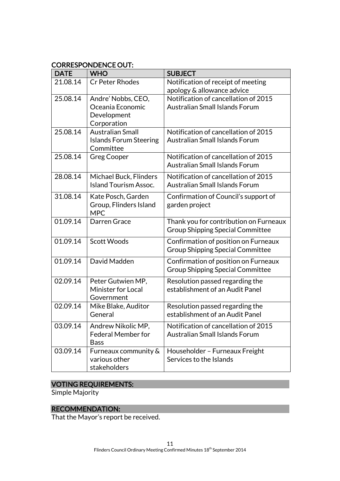## CORRESPONDENCE OUT:

| <b>DATE</b> | <b>WHO</b>                                 | <b>SUBJECT</b>                          |
|-------------|--------------------------------------------|-----------------------------------------|
| 21.08.14    | <b>Cr Peter Rhodes</b>                     | Notification of receipt of meeting      |
|             |                                            | apology & allowance advice              |
| 25.08.14    | Andre' Nobbs, CEO,                         | Notification of cancellation of 2015    |
|             | Oceania Economic                           | <b>Australian Small Islands Forum</b>   |
|             | Development                                |                                         |
|             | Corporation                                |                                         |
| 25.08.14    | <b>Australian Small</b>                    | Notification of cancellation of 2015    |
|             | <b>Islands Forum Steering</b><br>Committee | Australian Small Islands Forum          |
| 25.08.14    | <b>Greg Cooper</b>                         | Notification of cancellation of 2015    |
|             |                                            | <b>Australian Small Islands Forum</b>   |
|             |                                            |                                         |
| 28.08.14    | Michael Buck, Flinders                     | Notification of cancellation of 2015    |
|             | <b>Island Tourism Assoc.</b>               | <b>Australian Small Islands Forum</b>   |
| 31.08.14    | Kate Posch, Garden                         | Confirmation of Council's support of    |
|             | Group, Flinders Island                     | garden project                          |
|             | <b>MPC</b>                                 |                                         |
| 01.09.14    | Darren Grace                               | Thank you for contribution on Furneaux  |
|             |                                            | <b>Group Shipping Special Committee</b> |
| 01.09.14    | <b>Scott Woods</b>                         | Confirmation of position on Furneaux    |
|             |                                            | <b>Group Shipping Special Committee</b> |
| 01.09.14    | David Madden                               | Confirmation of position on Furneaux    |
|             |                                            | <b>Group Shipping Special Committee</b> |
| 02.09.14    | Peter Gutwien MP,                          | Resolution passed regarding the         |
|             | Minister for Local                         | establishment of an Audit Panel         |
|             | Government                                 |                                         |
| 02.09.14    | Mike Blake, Auditor                        | Resolution passed regarding the         |
|             | General                                    | establishment of an Audit Panel         |
| 03.09.14    | Andrew Nikolic MP,                         | Notification of cancellation of 2015    |
|             | <b>Federal Member for</b>                  | <b>Australian Small Islands Forum</b>   |
|             | <b>Bass</b>                                |                                         |
| 03.09.14    | Furneaux community &                       | Householder - Furneaux Freight          |
|             | various other                              | Services to the Islands                 |
|             | stakeholders                               |                                         |

## VOTING REQUIREMENTS:

Simple Majority

## RECOMMENDATION:

That the Mayor's report be received.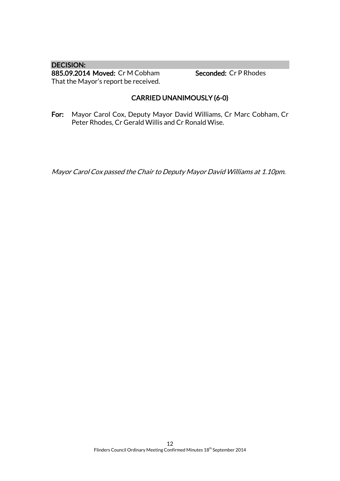DECISION: 885.09.2014 Moved: Cr M Cobham Seconded: Cr P Rhodes That the Mayor's report be received.

## CARRIED UNANIMOUSLY (6-0)

For: Mayor Carol Cox, Deputy Mayor David Williams, Cr Marc Cobham, Cr Peter Rhodes, Cr Gerald Willis and Cr Ronald Wise.

Mayor Carol Cox passed the Chair to Deputy Mayor David Williams at 1.10pm.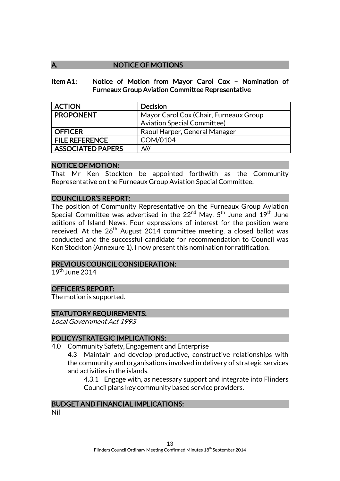## NOTICE OF MOTIONS

#### Item A1: Notice of Motion from Mayor Carol Cox – Nomination of Furneaux Group Aviation Committee Representative

| <b>ACTION</b>            | <b>Decision</b>                        |  |
|--------------------------|----------------------------------------|--|
| <b>PROPONENT</b>         | Mayor Carol Cox (Chair, Furneaux Group |  |
|                          | <b>Aviation Special Committee)</b>     |  |
| <b>OFFICER</b>           | Raoul Harper, General Manager          |  |
| <b>FILE REFERENCE</b>    | COM/0104                               |  |
| <b>ASSOCIATED PAPERS</b> | Nil                                    |  |

#### NOTICE OF MOTION:

That Mr Ken Stockton be appointed forthwith as the Community Representative on the Furneaux Group Aviation Special Committee.

#### COUNCILLOR'S REPORT:

The position of Community Representative on the Furneaux Group Aviation Special Committee was advertised in the  $22^{nd}$  May,  $5^{th}$  June and  $19^{th}$  June editions of Island News. Four expressions of interest for the position were received. At the  $26^{th}$  August 2014 committee meeting, a closed ballot was conducted and the successful candidate for recommendation to Council was Ken Stockton (Annexure 1). I now present this nomination for ratification.

#### PREVIOUS COUNCIL CONSIDERATION:

 $19^{th}$  June 2014

#### OFFICER'S REPORT:

The motion is supported.

#### STATUTORY REQUIREMENTS:

Local Government Act 1993

#### POLICY/STRATEGIC IMPLICATIONS:

4.0 Community Safety, Engagement and Enterprise

4.3 Maintain and develop productive, constructive relationships with the community and organisations involved in delivery of strategic services and activities in the islands.

4.3.1 Engage with, as necessary support and integrate into Flinders Council plans key community based service providers.

#### BUDGET AND FINANCIAL IMPLICATIONS:

Nil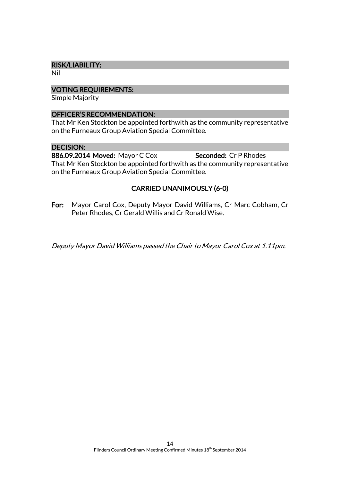#### RISK/LIABILITY:

Nil

#### VOTING REQUIREMENTS:

Simple Majority

#### OFFICER'S RECOMMENDATION:

That Mr Ken Stockton be appointed forthwith as the community representative on the Furneaux Group Aviation Special Committee.

#### DECISION:

886.09.2014 Moved: Mayor C Cox Seconded: Cr P Rhodes That Mr Ken Stockton be appointed forthwith as the community representative on the Furneaux Group Aviation Special Committee.

## CARRIED UNANIMOUSLY (6-0)

For: Mayor Carol Cox, Deputy Mayor David Williams, Cr Marc Cobham, Cr Peter Rhodes, Cr Gerald Willis and Cr Ronald Wise.

Deputy Mayor David Williams passed the Chair to Mayor Carol Cox at 1.11pm.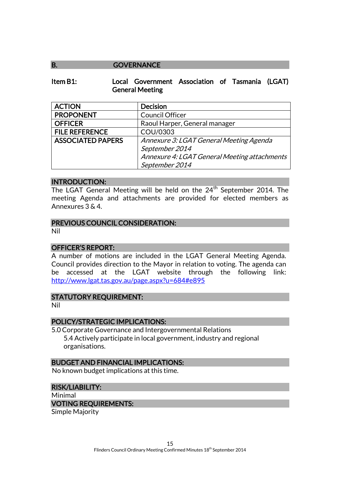#### B. **GOVERNANCE**

#### Item B1: Local Government Association of Tasmania (LGAT) General Meeting

| <b>ACTION</b>            | <b>Decision</b>                              |  |
|--------------------------|----------------------------------------------|--|
| <b>PROPONENT</b>         | Council Officer                              |  |
| <b>OFFICER</b>           | Raoul Harper, General manager                |  |
| <b>FILE REFERENCE</b>    | COU/0303                                     |  |
| <b>ASSOCIATED PAPERS</b> | Annexure 3: LGAT General Meeting Agenda      |  |
|                          | September 2014                               |  |
|                          | Annexure 4: LGAT General Meeting attachments |  |
|                          | September 2014                               |  |

#### INTRODUCTION:

The LGAT General Meeting will be held on the 24<sup>th</sup> September 2014. The meeting Agenda and attachments are provided for elected members as Annexures 3 & 4.

#### PREVIOUS COUNCIL CONSIDERATION:

Nil

#### OFFICER'S REPORT:

A number of motions are included in the LGAT General Meeting Agenda. Council provides direction to the Mayor in relation to voting. The agenda can be accessed at the LGAT website through the following link: <http://www.lgat.tas.gov.au/page.aspx?u=684#e895>

#### STATUTORY REQUIREMENT:

Nil

#### POLICY/STRATEGIC IMPLICATIONS:

5.0 Corporate Governance and Intergovernmental Relations 5.4 Actively participate in local government, industry and regional organisations.

#### BUDGET AND FINANCIAL IMPLICATIONS:

No known budget implications at this time.

## RISK/LIABILITY:

Minimal VOTING REQUIREMENTS:

Simple Majority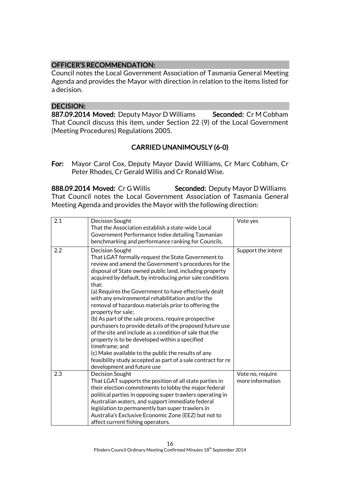## OFFICER'S RECOMMENDATION:

Council notes the Local Government Association of Tasmania General Meeting Agenda and provides the Mayor with direction in relation to the items listed for a decision.

#### DECISION:

887.09.2014 Moved: Deputy Mayor D Williams Seconded: Cr M Cobham That Council discuss this item, under Section 22 (9) of the Local Government (Meeting Procedures) Regulations 2005.

## CARRIED UNANIMOUSLY (6-0)

For: Mayor Carol Cox, Deputy Mayor David Williams, Cr Marc Cobham, Cr Peter Rhodes, Cr Gerald Willis and Cr Ronald Wise.

888.09.2014 Moved: Cr G Willis Seconded: Deputy Mayor D Williams That Council notes the Local Government Association of Tasmania General Meeting Agenda and provides the Mayor with the following direction:

| 2.1 | Decision Sought<br>That the Association establish a state-wide Local                                            | Vote yes           |
|-----|-----------------------------------------------------------------------------------------------------------------|--------------------|
|     | Government Performance Index detailing Tasmanian<br>benchmarking and performance ranking for Councils.          |                    |
|     |                                                                                                                 |                    |
| 2.2 | Decision Sought                                                                                                 | Support the intent |
|     | That LGAT formally request the State Government to                                                              |                    |
|     | review and amend the Government's procedures for the<br>disposal of State owned public land, including property |                    |
|     | acquired by default, by introducing prior sale conditions                                                       |                    |
|     | that:                                                                                                           |                    |
|     | (a) Requires the Government to have effectively dealt                                                           |                    |
|     | with any environmental rehabilitation and/or the                                                                |                    |
|     | removal of hazardous materials prior to offering the                                                            |                    |
|     | property for sale;                                                                                              |                    |
|     | (b) As part of the sale process, require prospective                                                            |                    |
|     | purchasers to provide details of the proposed future use                                                        |                    |
|     | of the site and include as a condition of sale that the                                                         |                    |
|     | property is to be developed within a specified                                                                  |                    |
|     | timeframe; and<br>(c) Make available to the public the results of any                                           |                    |
|     | feasibility study accepted as part of a sale contract for re                                                    |                    |
|     | development and future use                                                                                      |                    |
| 2.3 | Decision Sought                                                                                                 | Vote no, require   |
|     | That LGAT supports the position of all state parties in                                                         | more information   |
|     | their election commitments to lobby the major federal                                                           |                    |
|     | political parties in opposing super trawlers operating in                                                       |                    |
|     | Australian waters, and support immediate federal                                                                |                    |
|     | legislation to permanently ban super trawlers in                                                                |                    |
|     | Australia's Exclusive Economic Zone (EEZ) but not to                                                            |                    |
|     | affect current fishing operators.                                                                               |                    |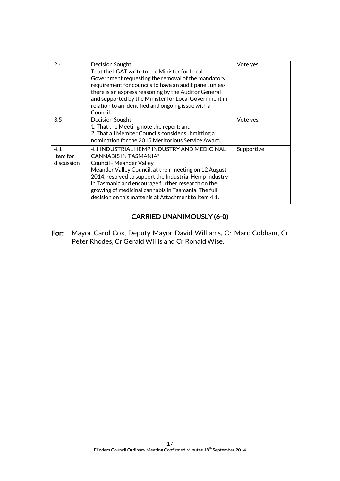| 2.4                           | Decision Sought<br>That the LGAT write to the Minister for Local<br>Government requesting the removal of the mandatory<br>requirement for councils to have an audit panel, unless<br>there is an express reasoning by the Auditor General<br>and supported by the Minister for Local Government in<br>relation to an identified and ongoing issue with a<br>Council.                    | Vote yes   |
|-------------------------------|-----------------------------------------------------------------------------------------------------------------------------------------------------------------------------------------------------------------------------------------------------------------------------------------------------------------------------------------------------------------------------------------|------------|
| 3.5                           | Decision Sought<br>1. That the Meeting note the report; and<br>2. That all Member Councils consider submitting a<br>nomination for the 2015 Meritorious Service Award.                                                                                                                                                                                                                  | Vote yes   |
| 4.1<br>Item for<br>discussion | 4.1 INDUSTRIAL HEMP INDUSTRY AND MEDICINAL<br>CANNABIS IN TASMANIA*<br>Council - Meander Valley<br>Meander Valley Council, at their meeting on 12 August<br>2014, resolved to support the Industrial Hemp Industry<br>in Tasmania and encourage further research on the<br>growing of medicinal cannabis in Tasmania. The full<br>decision on this matter is at Attachment to Item 4.1. | Supportive |

## CARRIED UNANIMOUSLY (6-0)

For: Mayor Carol Cox, Deputy Mayor David Williams, Cr Marc Cobham, Cr Peter Rhodes, Cr Gerald Willis and Cr Ronald Wise.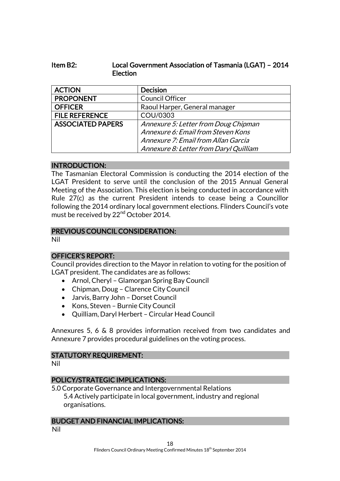## Item B2: Local Government Association of Tasmania (LGAT) – 2014 Election

| <b>ACTION</b>            | <b>Decision</b>                        |  |
|--------------------------|----------------------------------------|--|
| <b>PROPONENT</b>         | Council Officer                        |  |
| <b>OFFICER</b>           | Raoul Harper, General manager          |  |
| <b>FILE REFERENCE</b>    | COU/0303                               |  |
| <b>ASSOCIATED PAPERS</b> | Annexure 5: Letter from Doug Chipman   |  |
|                          | Annexure 6: Email from Steven Kons     |  |
|                          | Annexure 7: Email from Allan Garcia    |  |
|                          | Annexure 8: Letter from Daryl Quilliam |  |

#### INTRODUCTION:

The Tasmanian Electoral Commission is conducting the 2014 election of the LGAT President to serve until the conclusion of the 2015 Annual General Meeting of the Association. This election is being conducted in accordance with Rule 27(c) as the current President intends to cease being a Councillor following the 2014 ordinary local government elections. Flinders Council's vote must be received by 22<sup>nd</sup> October 2014.

## PREVIOUS COUNCIL CONSIDERATION:

Nil

## OFFICER'S REPORT:

Council provides direction to the Mayor in relation to voting for the position of LGAT president. The candidates are as follows:

- Arnol, Cheryl Glamorgan Spring Bay Council
- Chipman, Doug Clarence City Council
- Jarvis, Barry John Dorset Council
- Kons, Steven Burnie City Council
- Quilliam, Daryl Herbert Circular Head Council

Annexures 5, 6 & 8 provides information received from two candidates and Annexure 7 provides procedural guidelines on the voting process.

## STATUTORY REQUIREMENT:

Nil

## POLICY/STRATEGIC IMPLICATIONS:

5.0 Corporate Governance and Intergovernmental Relations 5.4 Actively participate in local government, industry and regional organisations.

## BUDGET AND FINANCIAL IMPLICATIONS:

Nil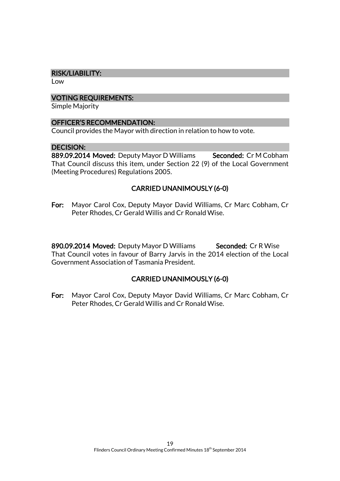#### RISK/LIABILITY:

Low

#### VOTING REQUIREMENTS:

Simple Majority

#### OFFICER'S RECOMMENDATION:

Council provides the Mayor with direction in relation to how to vote.

#### DECISION:

889.09.2014 Moved: Deputy Mayor D Williams Seconded: Cr M Cobham That Council discuss this item, under Section 22 (9) of the Local Government (Meeting Procedures) Regulations 2005.

## CARRIED UNANIMOUSLY (6-0)

For: Mayor Carol Cox, Deputy Mayor David Williams, Cr Marc Cobham, Cr Peter Rhodes, Cr Gerald Willis and Cr Ronald Wise.

890.09.2014 Moved: Deputy Mayor D Williams Seconded: Cr R Wise That Council votes in favour of Barry Jarvis in the 2014 election of the Local Government Association of Tasmania President.

## CARRIED UNANIMOUSLY (6-0)

For: Mayor Carol Cox, Deputy Mayor David Williams, Cr Marc Cobham, Cr Peter Rhodes, Cr Gerald Willis and Cr Ronald Wise.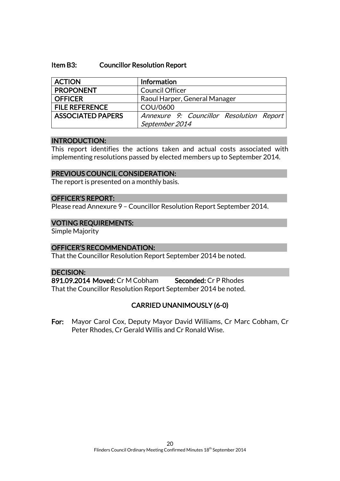#### Item B3: Councillor Resolution Report

| <b>ACTION</b>            | <b>Information</b>                       |  |
|--------------------------|------------------------------------------|--|
| <b>PROPONENT</b>         | <b>Council Officer</b>                   |  |
| <b>OFFICER</b>           | Raoul Harper, General Manager            |  |
| <b>FILE REFERENCE</b>    | COU/0600                                 |  |
| <b>ASSOCIATED PAPERS</b> | Annexure 9: Councillor Resolution Report |  |
|                          | September 2014                           |  |

#### INTRODUCTION:

This report identifies the actions taken and actual costs associated with implementing resolutions passed by elected members up to September 2014.

#### PREVIOUS COUNCIL CONSIDERATION:

The report is presented on a monthly basis.

#### OFFICER'S REPORT:

Please read Annexure 9 – Councillor Resolution Report September 2014.

#### VOTING REQUIREMENTS:

Simple Majority

#### OFFICER'S RECOMMENDATION:

That the Councillor Resolution Report September 2014 be noted.

#### DECISION:

891.09.2014 Moved: Cr M Cobham Seconded: Cr P Rhodes That the Councillor Resolution Report September 2014 be noted.

## CARRIED UNANIMOUSLY (6-0)

For: Mayor Carol Cox, Deputy Mayor David Williams, Cr Marc Cobham, Cr Peter Rhodes, Cr Gerald Willis and Cr Ronald Wise.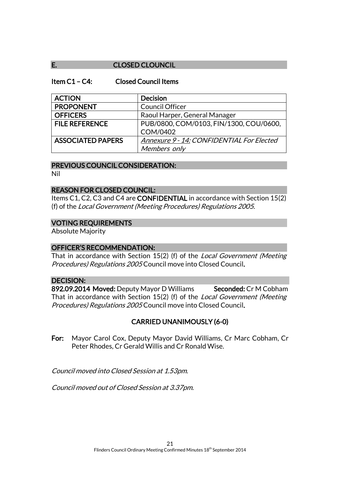## E. CLOSED CLOUNCIL

#### Item C1 – C4: Closed Council Items

| <b>ACTION</b>            | <b>Decision</b>                           |
|--------------------------|-------------------------------------------|
| <b>PROPONENT</b>         | <b>Council Officer</b>                    |
| <b>OFFICERS</b>          | Raoul Harper, General Manager             |
| <b>FILE REFERENCE</b>    | PUB/0800, COM/0103, FIN/1300, COU/0600,   |
|                          | COM/0402                                  |
| <b>ASSOCIATED PAPERS</b> | Annexure 9 - 14: CONFIDENTIAL For Elected |
|                          | Members only                              |

#### PREVIOUS COUNCIL CONSIDERATION:

Nil

#### REASON FOR CLOSED COUNCIL:

Items C1, C2, C3 and C4 are CONFIDENTIAL in accordance with Section 15(2) (f) of the Local Government (Meeting Procedures) Regulations 2005.

#### VOTING REQUIREMENTS

Absolute Majority

#### OFFICER'S RECOMMENDATION:

That in accordance with Section 15(2) (f) of the *Local Government (Meeting* Procedures) Regulations 2005 Council move into Closed Council.

#### DECISION:

892.09.2014 Moved: Deputy Mayor D Williams Seconded: Cr M Cobham That in accordance with Section 15(2) (f) of the Local Government (Meeting Procedures) Regulations 2005 Council move into Closed Council.

## CARRIED UNANIMOUSLY (6-0)

For: Mayor Carol Cox, Deputy Mayor David Williams, Cr Marc Cobham, Cr Peter Rhodes, Cr Gerald Willis and Cr Ronald Wise.

Council moved into Closed Session at 1.53pm.

Council moved out of Closed Session at 3.37pm.